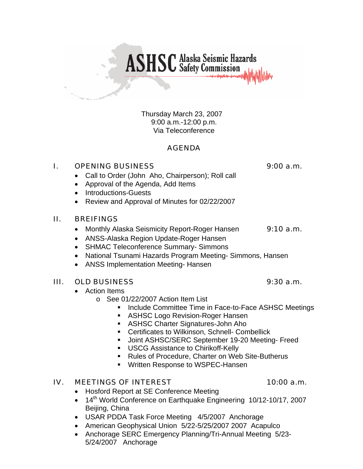Thursday March 23, 2007 9:00 a.m.-12:00 p.m. Via Teleconference

**ASHSC** Alaska Seismic Hazards

## AGENDA

### I. OPENING BUSINESS 9:00 a.m.

- Call to Order (John Aho, Chairperson); Roll call
- Approval of the Agenda, Add Items
- Introductions-Guests
- Review and Approval of Minutes for 02/22/2007

#### II. BREIFINGS

- Monthly Alaska Seismicity Report-Roger Hansen 9:10 a.m.
- ANSS-Alaska Region Update-Roger Hansen
- SHMAC Teleconference Summary- Simmons
- National Tsunami Hazards Program Meeting- Simmons, Hansen
- ANSS Implementation Meeting- Hansen

#### III. OLD BUSINESS 9:30 a.m.

- Action Items
	- o See 01/22/2007 Action Item List
		- **Include Committee Time in Face-to-Face ASHSC Meetings**
		- **ASHSC Logo Revision-Roger Hansen**
		- ASHSC Charter Signatures-John Aho
		- **EXEC** Certificates to Wilkinson, Schnell- Combellick
		- Joint ASHSC/SERC September 19-20 Meeting- Freed
		- **USCG Assistance to Chirikoff-Kelly**
		- Rules of Procedure, Charter on Web Site-Butherus
		- **Written Response to WSPEC-Hansen**

#### IV. MEETINGS OF INTEREST 10:00 a.m.

- Hosford Report at SE Conference Meeting
- 14<sup>th</sup> World Conference on Earthquake Engineering 10/12-10/17, 2007 Beijing, China
- USAR PDDA Task Force Meeting 4/5/2007 Anchorage
- American Geophysical Union 5/22-5/25/2007 2007 Acapulco
- Anchorage SERC Emergency Planning/Tri-Annual Meeting 5/23- 5/24/2007 Anchorage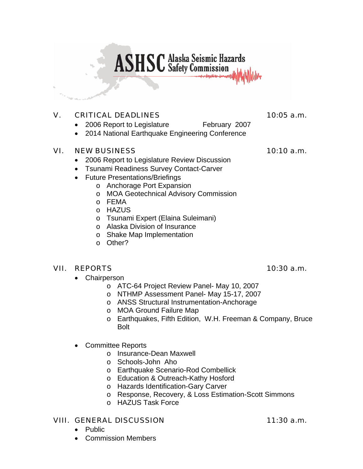## **ASHSC** Alaska Seismic Hazards

## V. CRITICAL DEADLINES 10:05 a.m.

- 2006 Report to Legislature February 2007
- 2014 National Earthquake Engineering Conference

#### VI. NEW BUSINESS 10:10 a.m.

- 2006 Report to Legislature Review Discussion
- Tsunami Readiness Survey Contact-Carver
- Future Presentations/Briefings
	- o Anchorage Port Expansion
	- o MOA Geotechnical Advisory Commission
	- o FEMA
	- o HAZUS
	- o Tsunami Expert (Elaina Suleimani)
	- o Alaska Division of Insurance
	- o Shake Map Implementation
	- o Other?

#### VII. REPORTS 10:30 a.m.

- Chairperson
	- o ATC-64 Project Review Panel- May 10, 2007
	- o NTHMP Assessment Panel- May 15-17, 2007
	- o ANSS Structural Instrumentation-Anchorage
	- o MOA Ground Failure Map
	- o Earthquakes, Fifth Edition, W.H. Freeman & Company, Bruce Bolt
- Committee Reports
	- o Insurance-Dean Maxwell
	- o Schools-John Aho
	- o Earthquake Scenario-Rod Combellick
	- o Education & Outreach-Kathy Hosford
	- o Hazards Identification-Gary Carver
	- o Response, Recovery, & Loss Estimation-Scott Simmons
	- o HAZUS Task Force

#### VIII. GENERAL DISCUSSION 11:30 a.m.

- Public
- Commission Members